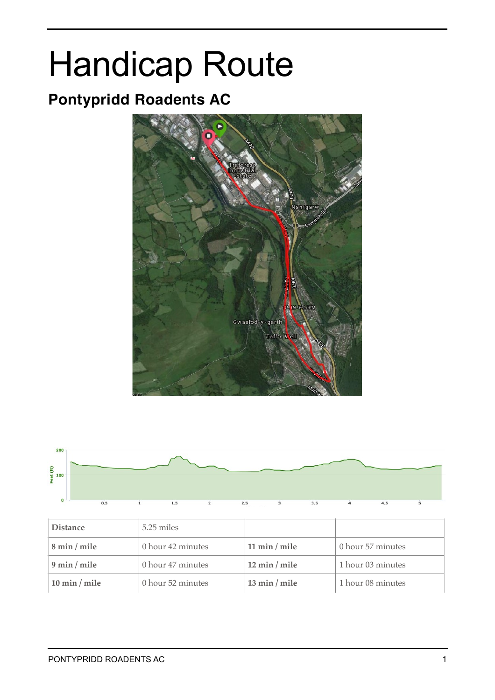# Handicap Route

## **Pontypridd Roadents AC**





| <b>Distance</b>                 | 5.25 miles        |                                 |                   |
|---------------------------------|-------------------|---------------------------------|-------------------|
| 8 min / mile                    | 0 hour 42 minutes | 11 min / mile                   | 0 hour 57 minutes |
| $9 \text{ min} / \text{ mile}$  | 0 hour 47 minutes | $12 \text{ min} / \text{ mile}$ | 1 hour 03 minutes |
| $10 \text{ min} / \text{ mile}$ | 0 hour 52 minutes | $13 \text{ min} / \text{mile}$  | 1 hour 08 minutes |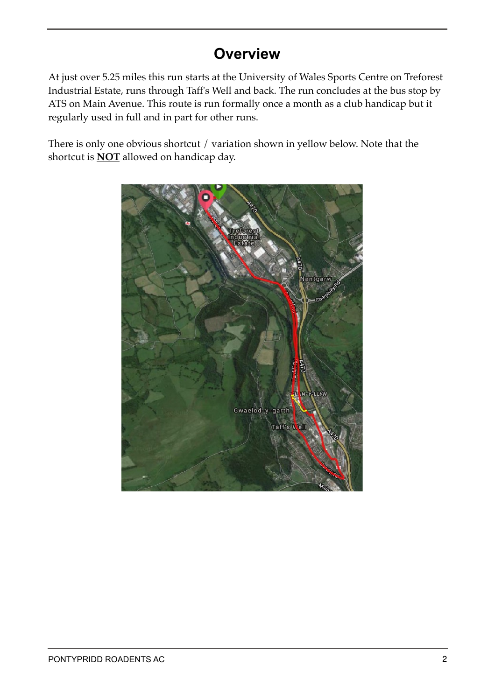## **Overview**

At just over 5.25 miles this run starts at the University of Wales Sports Centre on Treforest Industrial Estate, runs through Taff's Well and back. The run concludes at the bus stop by ATS on Main Avenue. This route is run formally once a month as a club handicap but it regularly used in full and in part for other runs.

There is only one obvious shortcut / variation shown in yellow below. Note that the shortcut is **NOT** allowed on handicap day.

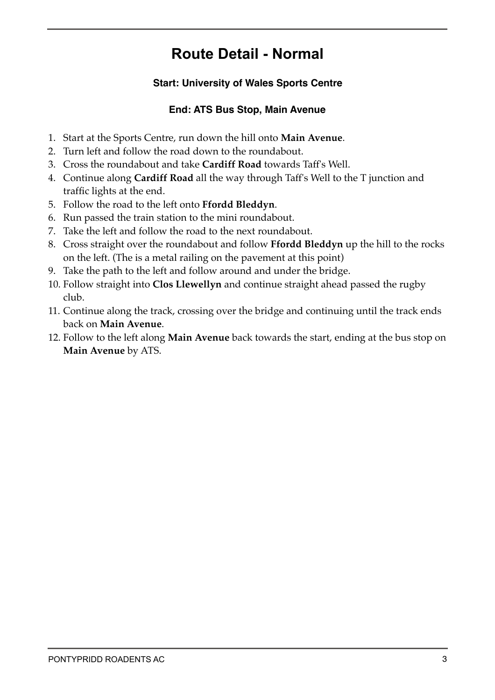## **Route Detail - Normal**

#### **Start: University of Wales Sports Centre**

#### **End: ATS Bus Stop, Main Avenue**

- 1. Start at the Sports Centre, run down the hill onto **Main Avenue**.
- 2. Turn left and follow the road down to the roundabout.
- 3. Cross the roundabout and take **Cardiff Road** towards Taff's Well.
- 4. Continue along **Cardiff Road** all the way through Taff's Well to the T junction and traffic lights at the end.
- 5. Follow the road to the left onto **Ffordd Bleddyn**.
- 6. Run passed the train station to the mini roundabout.
- 7. Take the left and follow the road to the next roundabout.
- 8. Cross straight over the roundabout and follow **Ffordd Bleddyn** up the hill to the rocks on the left. (The is a metal railing on the pavement at this point)
- 9. Take the path to the left and follow around and under the bridge.
- 10. Follow straight into **Clos Llewellyn** and continue straight ahead passed the rugby club.
- 11. Continue along the track, crossing over the bridge and continuing until the track ends back on **Main Avenue**.
- 12. Follow to the left along **Main Avenue** back towards the start, ending at the bus stop on **Main Avenue** by ATS.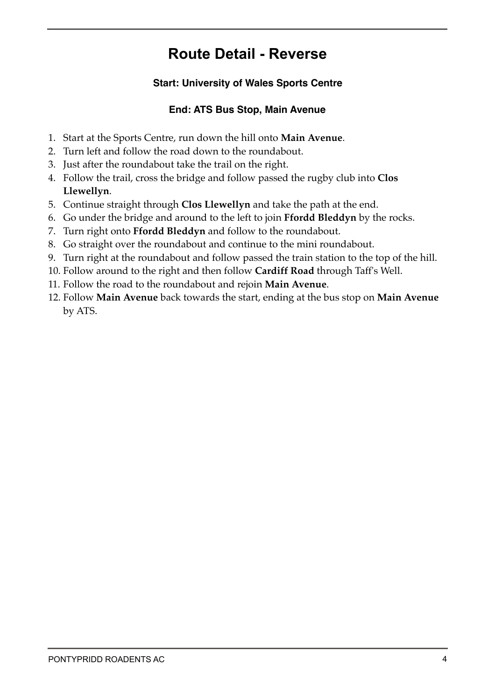## **Route Detail - Reverse**

#### **Start: University of Wales Sports Centre**

#### **End: ATS Bus Stop, Main Avenue**

- 1. Start at the Sports Centre, run down the hill onto **Main Avenue**.
- 2. Turn left and follow the road down to the roundabout.
- 3. Just after the roundabout take the trail on the right.
- 4. Follow the trail, cross the bridge and follow passed the rugby club into **Clos Llewellyn**.
- 5. Continue straight through **Clos Llewellyn** and take the path at the end.
- 6. Go under the bridge and around to the left to join **Ffordd Bleddyn** by the rocks.
- 7. Turn right onto **Ffordd Bleddyn** and follow to the roundabout.
- 8. Go straight over the roundabout and continue to the mini roundabout.
- 9. Turn right at the roundabout and follow passed the train station to the top of the hill.
- 10. Follow around to the right and then follow **Cardiff Road** through Taff's Well.
- 11. Follow the road to the roundabout and rejoin **Main Avenue**.
- 12. Follow **Main Avenue** back towards the start, ending at the bus stop on **Main Avenue** by ATS.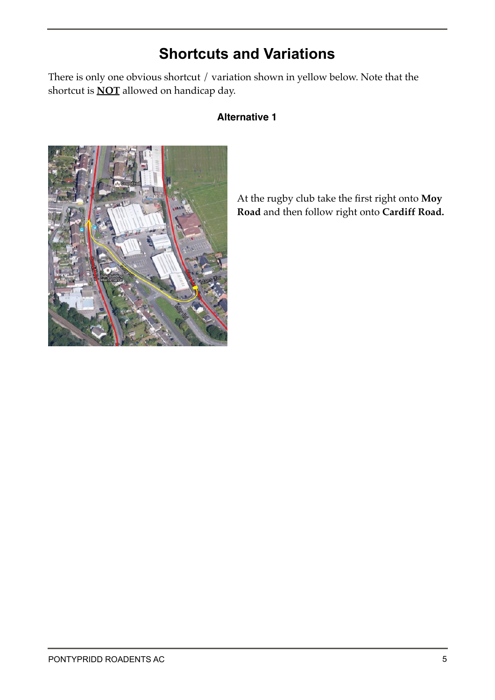## **Shortcuts and Variations**

There is only one obvious shortcut / variation shown in yellow below. Note that the shortcut is **NOT** allowed on handicap day.

#### **Alternative 1**



At the rugby club take the first right onto **Moy Road** and then follow right onto **Cardiff Road.**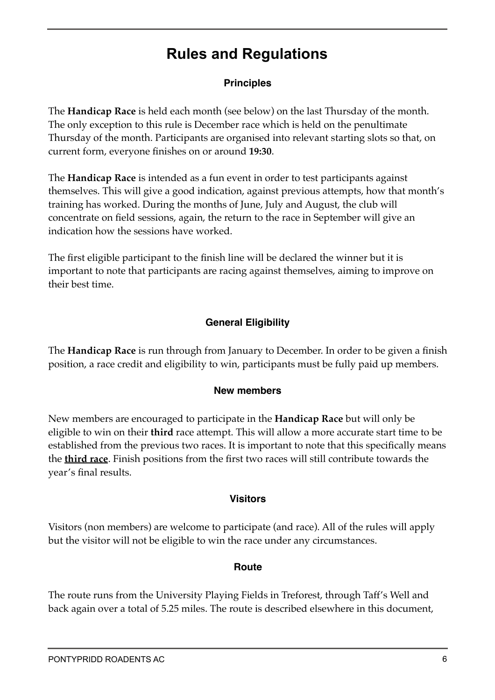## **Rules and Regulations**

#### **Principles**

The **Handicap Race** is held each month (see below) on the last Thursday of the month. The only exception to this rule is December race which is held on the penultimate Thursday of the month. Participants are organised into relevant starting slots so that, on current form, everyone finishes on or around **19:30**.

The **Handicap Race** is intended as a fun event in order to test participants against themselves. This will give a good indication, against previous attempts, how that month's training has worked. During the months of June, July and August, the club will concentrate on field sessions, again, the return to the race in September will give an indication how the sessions have worked.

The first eligible participant to the finish line will be declared the winner but it is important to note that participants are racing against themselves, aiming to improve on their best time.

#### **General Eligibility**

The **Handicap Race** is run through from January to December. In order to be given a finish position, a race credit and eligibility to win, participants must be fully paid up members.

#### **New members**

New members are encouraged to participate in the **Handicap Race** but will only be eligible to win on their **third** race attempt. This will allow a more accurate start time to be established from the previous two races. It is important to note that this specifically means the **third race**. Finish positions from the first two races will still contribute towards the year's final results.

#### **Visitors**

Visitors (non members) are welcome to participate (and race). All of the rules will apply but the visitor will not be eligible to win the race under any circumstances.

#### **Route**

The route runs from the University Playing Fields in Treforest, through Taff's Well and back again over a total of 5.25 miles. The route is described elsewhere in this document,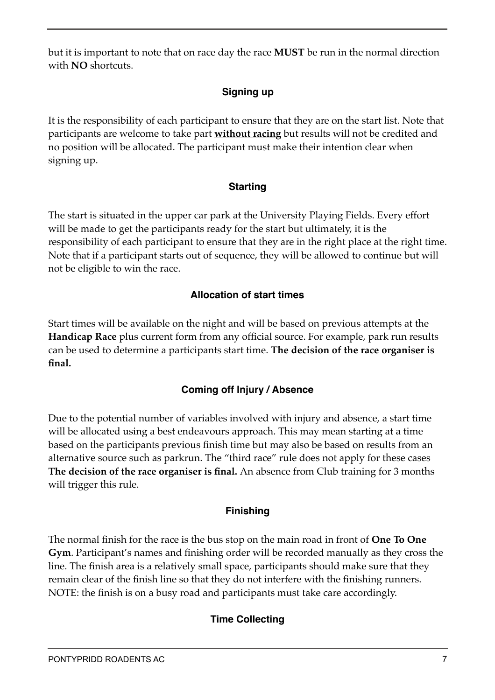but it is important to note that on race day the race **MUST** be run in the normal direction with **NO** shortcuts.

#### **Signing up**

It is the responsibility of each participant to ensure that they are on the start list. Note that participants are welcome to take part **without racing** but results will not be credited and no position will be allocated. The participant must make their intention clear when signing up.

#### **Starting**

The start is situated in the upper car park at the University Playing Fields. Every effort will be made to get the participants ready for the start but ultimately, it is the responsibility of each participant to ensure that they are in the right place at the right time. Note that if a participant starts out of sequence, they will be allowed to continue but will not be eligible to win the race.

#### **Allocation of start times**

Start times will be available on the night and will be based on previous attempts at the **Handicap Race** plus current form from any official source. For example, park run results can be used to determine a participants start time. **The decision of the race organiser is final.**

#### **Coming off Injury / Absence**

Due to the potential number of variables involved with injury and absence, a start time will be allocated using a best endeavours approach. This may mean starting at a time based on the participants previous finish time but may also be based on results from an alternative source such as parkrun. The "third race" rule does not apply for these cases **The decision of the race organiser is final.** An absence from Club training for 3 months will trigger this rule.

#### **Finishing**

The normal finish for the race is the bus stop on the main road in front of **One To One Gym**. Participant's names and finishing order will be recorded manually as they cross the line. The finish area is a relatively small space, participants should make sure that they remain clear of the finish line so that they do not interfere with the finishing runners. NOTE: the finish is on a busy road and participants must take care accordingly.

#### **Time Collecting**